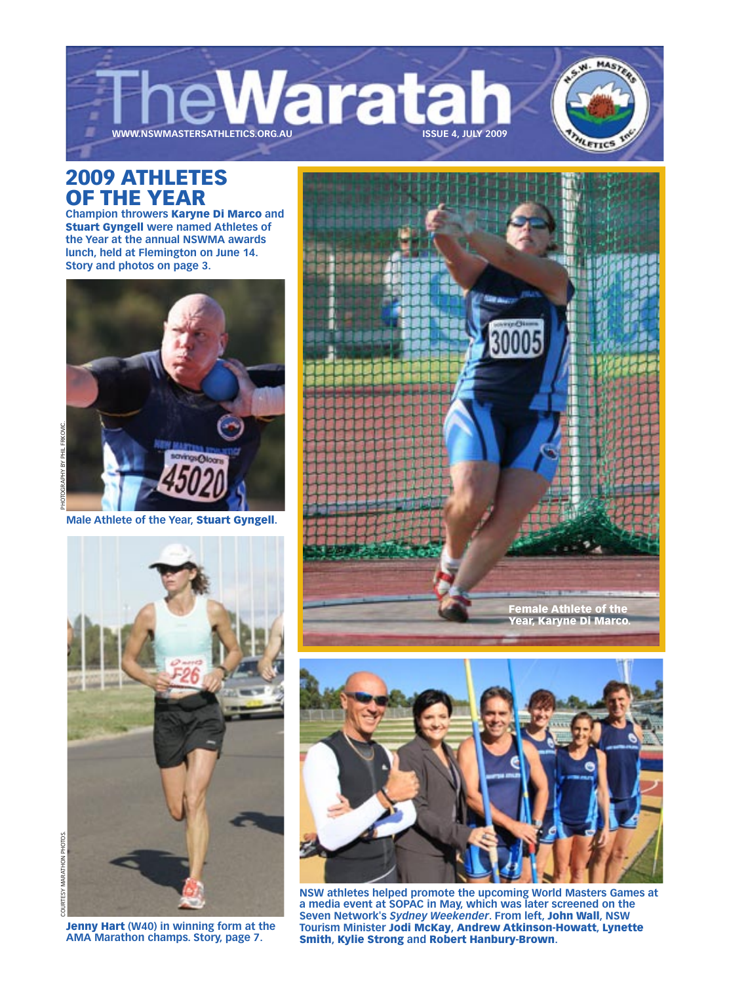

## 2009 ATHLETES OF THE YEAR

**Champion throwers** Karyne Di Marco **and**  Stuart Gyngell **were named Athletes of the Year at the annual NSWMA awards lunch, held at Flemington on June 14. Story and photos on page 3.**



**Male Athlete of the Year,** Stuart Gyngell**.**



PHOTOGRAPHY BY PHIL FRKOVIC.

 $\frac{1}{2}$ 

Jenny Hart **(W40) in winning form at the AMA Marathon champs. Story, page 7.**





**NSW athletes helped promote the upcoming World Masters Games at a media event at SOPAC in May, which was later screened on the Seven Network's** *Sydney Weekender***. From left,** John Wall**, NSW Tourism Minister** Jodi McKay**,** Andrew Atkinson-Howatt**,** Lynette Smith**,** Kylie Strong **and** Robert Hanbury-Brown**.**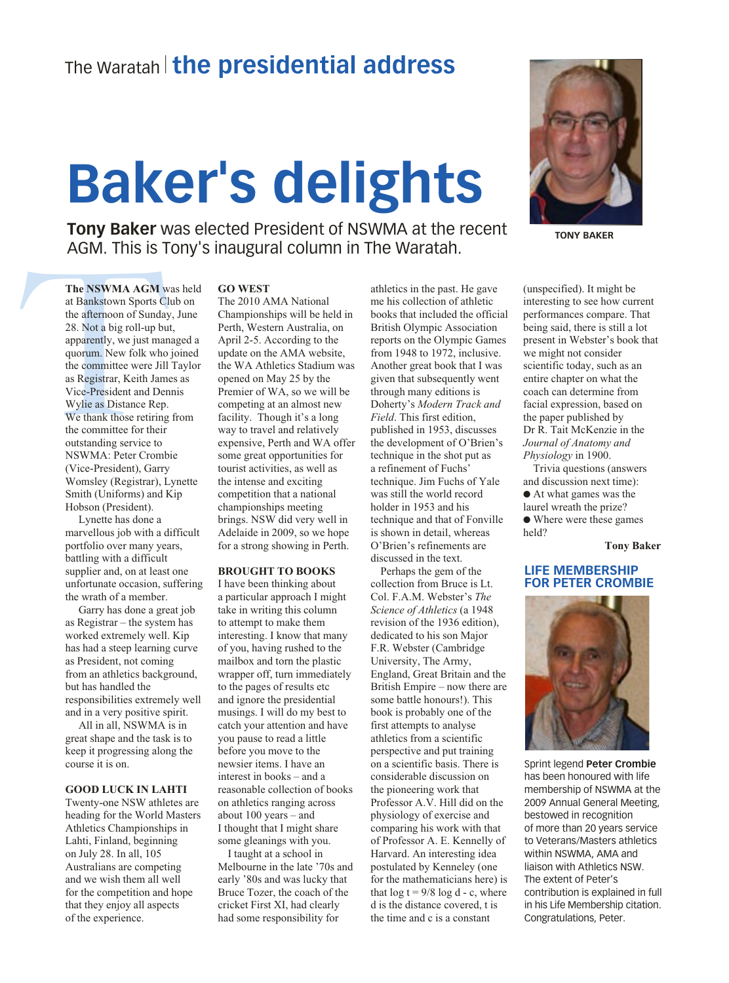## The Waratah<sup>|</sup> **the presidential address**

# **Baker's delights**

**Tony Baker** was elected President of NSWMA at the recent TONY BAKER AGM. This is Tony's inaugural column in The Waratah.



The NSWMA AGM was at Bankstown Sports Ch<br>the afternoon of Sunday<br>28. Not a big roll-up but<br>apparently, we just mana-<br>quorum. New folk who<br>the committee were Jill<br>as Registrar, Keith Jame<br>Vice-President and Den<br>Wylie as Dis **The NSWMA AGM** was held at Bankstown Sports Club on the afternoon of Sunday, June 28. Not a big roll-up but, apparently, we just managed a quorum. New folk who joined the committee were Jill Taylor as Registrar, Keith James as Vice-President and Dennis Wylie as Distance Rep. We thank those retiring from the committee for their outstanding service to NSWMA: Peter Crombie (Vice-President), Garry Womsley (Registrar), Lynette Smith (Uniforms) and Kip Hobson (President).

> Lynette has done a marvellous job with a difficult portfolio over many years, battling with a difficult supplier and, on at least one unfortunate occasion, suffering the wrath of a member.

Garry has done a great job as Registrar – the system has worked extremely well. Kip has had a steep learning curve as President, not coming from an athletics background, but has handled the responsibilities extremely well and in a very positive spirit.

All in all, NSWMA is in great shape and the task is to keep it progressing along the course it is on.

#### **GOOD LUCK IN LAHTI**

Twenty-one NSW athletes are heading for the World Masters Athletics Championships in Lahti, Finland, beginning on July 28. In all, 105 Australians are competing and we wish them all well for the competition and hope that they enjoy all aspects of the experience.

#### **GO WEST**

The 2010 AMA National Championships will be held in Perth, Western Australia, on April 2-5. According to the update on the AMA website, the WA Athletics Stadium was opened on May 25 by the Premier of WA, so we will be competing at an almost new facility. Though it's a long way to travel and relatively expensive, Perth and WA offer some great opportunities for tourist activities, as well as the intense and exciting competition that a national championships meeting brings. NSW did very well in Adelaide in 2009, so we hope for a strong showing in Perth.

#### **BROUGHT TO BOOKS**

I have been thinking about a particular approach I might take in writing this column to attempt to make them interesting. I know that many of you, having rushed to the mailbox and torn the plastic wrapper off, turn immediately to the pages of results etc and ignore the presidential musings. I will do my best to catch your attention and have you pause to read a little before you move to the newsier items. I have an interest in books – and a reasonable collection of books on athletics ranging across about 100 years – and I thought that I might share some gleanings with you.

I taught at a school in Melbourne in the late '70s and early '80s and was lucky that Bruce Tozer, the coach of the cricket First XI, had clearly had some responsibility for

athletics in the past. He gave me his collection of athletic books that included the official British Olympic Association reports on the Olympic Games from 1948 to 1972, inclusive. Another great book that I was given that subsequently went through many editions is Doherty's *Modern Track and Field*. This first edition, published in 1953, discusses the development of O'Brien's technique in the shot put as a refinement of Fuchs' technique. Jim Fuchs of Yale was still the world record holder in 1953 and his technique and that of Fonville is shown in detail, whereas O'Brien's refinements are discussed in the text.

Perhaps the gem of the collection from Bruce is Lt. Col. F.A.M. Webster's *The Science of Athletics* (a 1948 revision of the 1936 edition), dedicated to his son Major F.R. Webster (Cambridge University, The Army, England, Great Britain and the British Empire – now there are some battle honours!). This book is probably one of the first attempts to analyse athletics from a scientific perspective and put training on a scientific basis. There is considerable discussion on the pioneering work that Professor A.V. Hill did on the physiology of exercise and comparing his work with that of Professor A. E. Kennelly of Harvard. An interesting idea postulated by Kenneley (one for the mathematicians here) is that  $\log t = 9/8 \log d - c$ , where d is the distance covered, t is the time and c is a constant

(unspecified). It might be interesting to see how current performances compare. That being said, there is still a lot present in Webster's book that we might not consider scientific today, such as an entire chapter on what the coach can determine from facial expression, based on the paper published by Dr R. Tait McKenzie in the *Journal of Anatomy and Physiology* in 1900.

Trivia questions (answers and discussion next time): ● At what games was the laurel wreath the prize? ● Where were these games held?

**Tony Baker**

### **LIFE MEMBERSHIP FOR PETER CROMBIE**



Sprint legend **Peter Crombie** has been honoured with life membership of NSWMA at the 2009 Annual General Meeting, bestowed in recognition of more than 20 years service to Veterans/Masters athletics within NSWMA, AMA and liaison with Athletics NSW. The extent of Peter's contribution is explained in full in his Life Membership citation. Congratulations, Peter.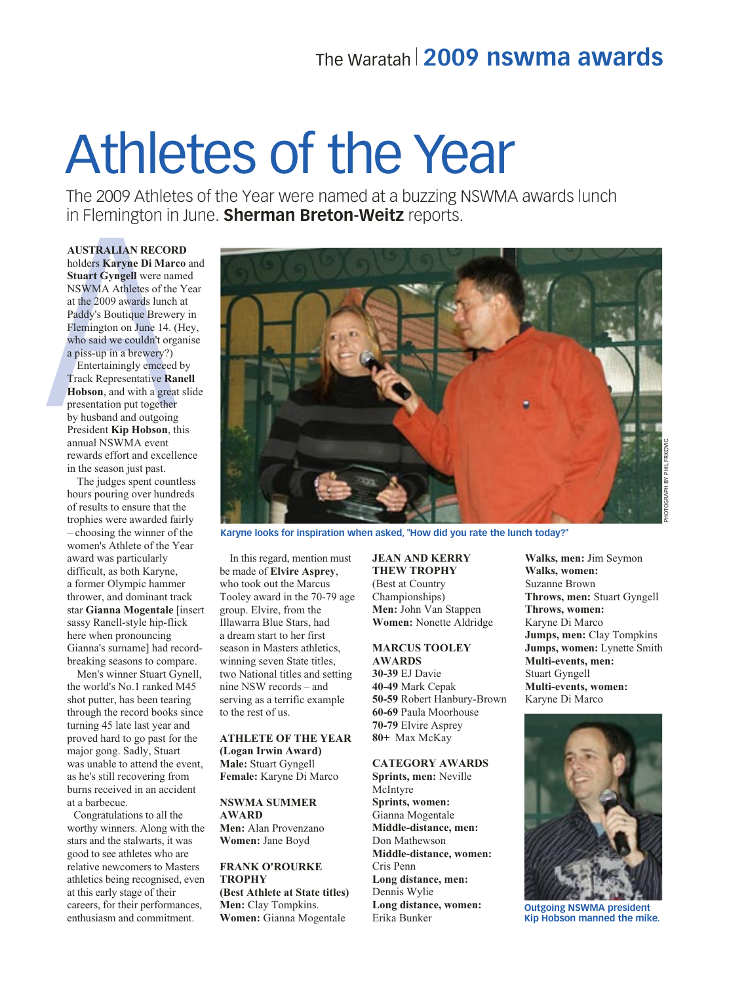## The Waratah<sup>|</sup> **2009 nswma awards**

# Athletes of the Year

The 2009 Athletes of the Year were named at a buzzing NSWMA awards lunch in Flemington in June. **Sherman Breton-Weitz** reports.

AUSTRALIAN RECORD<br>
holders Karyne Di Marco<br>
Stuart Gyngell were nam<br>
NSWMA Athletes of the N<br>
at the 2009 awards lunch a<br>
Paddy's Boutique Brewery<br>
Flemington on June 14. (H<br>
who said we couldn't orga<br>
a piss-up in a brewe **AUSTRALIAN RECORD**  holders **Karyne Di Marco** and **Stuart Gyngell** were named NSWMA Athletes of the Year at the 2009 awards lunch at Paddy's Boutique Brewery in Flemington on June 14. (Hey, who said we couldn't organise a piss-up in a brewery?)

Entertainingly emceed by Track Representative **Ranell Hobson**, and with a great slide presentation put together by husband and outgoing President **Kip Hobson**, this annual NSWMA event rewards effort and excellence in the season just past.

The judges spent countless hours pouring over hundreds of results to ensure that the trophies were awarded fairly – choosing the winner of the women's Athlete of the Year award was particularly difficult, as both Karyne, a former Olympic hammer thrower, and dominant track star **Gianna Mogentale** [insert sassy Ranell-style hip-flick here when pronouncing Gianna's surname] had recordbreaking seasons to compare.

Men's winner Stuart Gynell, the world's No.1 ranked M45 shot putter, has been tearing through the record books since turning 45 late last year and proved hard to go past for the major gong. Sadly, Stuart was unable to attend the event. as he's still recovering from burns received in an accident at a barbecue.

Congratulations to all the worthy winners. Along with the stars and the stalwarts, it was good to see athletes who are relative newcomers to Masters athletics being recognised, even at this early stage of their careers, for their performances, enthusiasm and commitment.



be made of **Elvire Asprey**, who took out the Marcus Tooley award in the 70-79 age group. Elvire, from the Illawarra Blue Stars, had a dream start to her first season in Masters athletics, winning seven State titles, two National titles and setting nine NSW records – and serving as a terrific example to the rest of us.

In this regard, mention must

**ATHLETE OF THE YEAR (Logan Irwin Award) Male:** Stuart Gyngell **Female:** Karyne Di Marco

**NSWMA SUMMER AWARD Men:** Alan Provenzano **Women:** Jane Boyd

### **FRANK O'ROURKE TROPHY (Best Athlete at State titles)**

**Men:** Clay Tompkins. **Women:** Gianna Mogentale

#### **THEW TROPHY**  (Best at Country Championships) **Men:** John Van Stappen **Women:** Nonette Aldridge

#### **MARCUS TOOLEY AWARDS**

**30-39** EJ Davie **40-49** Mark Cepak **50-59** Robert Hanbury-Brown **60-69** Paula Moorhouse **70-79** Elvire Asprey **80+** Max McKay

#### **CATEGORY AWARDS**

**Sprints, men:** Neville McIntyre **Sprints, women:** Gianna Mogentale **Middle-distance, men:** Don Mathewson **Middle-distance, women:** Cris Penn **Long distance, men:** Dennis Wylie **Long distance, women:**  Erika Bunker

**Walks, men:** Jim Seymon **Walks, women:** Suzanne Brown **Throws, men:** Stuart Gyngell **Throws, women:** Karyne Di Marco **Jumps, men:** Clay Tompkins **Jumps, women:** Lynette Smith **Multi-events, men:** Stuart Gyngell **Multi-events, women:**  Karyne Di Marco



**Outgoing NSWMA president Kip Hobson manned the mike.**



**Karyne looks for inspiration when asked, "How did you rate the lunch today?"**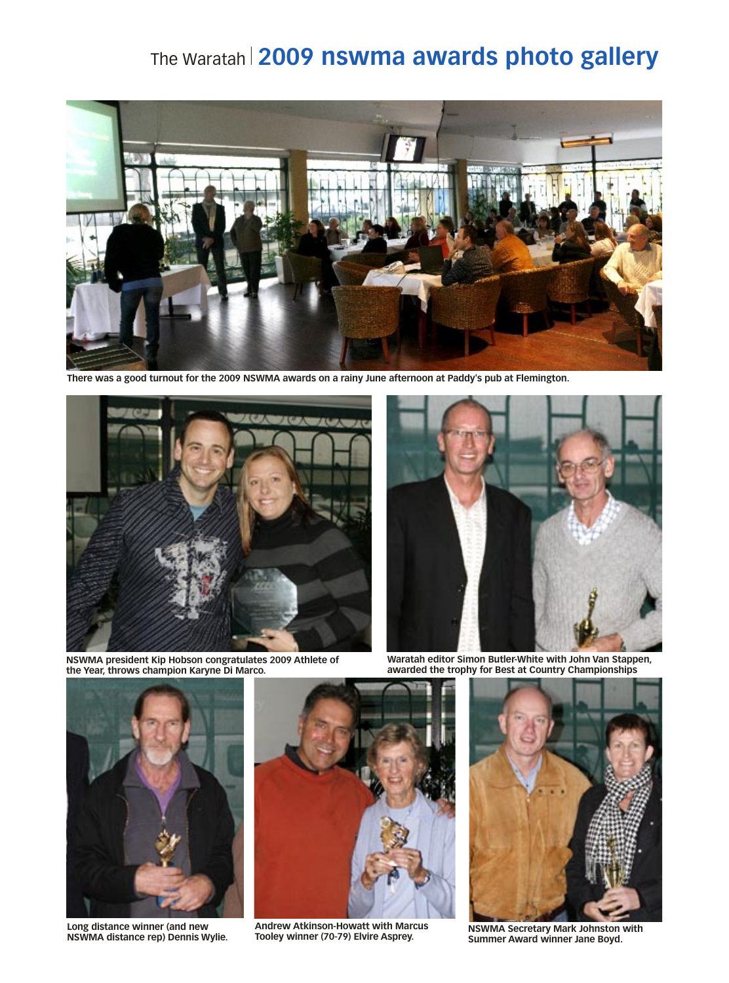## The Waratah<sup>|</sup> **2009 nswma awards photo gallery**



**There was a good turnout for the 2009 NSWMA awards on a rainy June afternoon at Paddy's pub at Flemington.**



**NSWMA president Kip Hobson congratulates 2009 Athlete of the Year, throws champion Karyne Di Marco.**



**Waratah editor Simon Butler-White with John Van Stappen, awarded the trophy for Best at Country Championships**



**Long distance winner (and new NSWMA distance rep) Dennis Wylie.**



**Andrew Atkinson-Howatt with Marcus Tooley winner (70-79) Elvire Asprey. NSWMA Secretary Mark Johnston with** 



**Summer Award winner Jane Boyd.**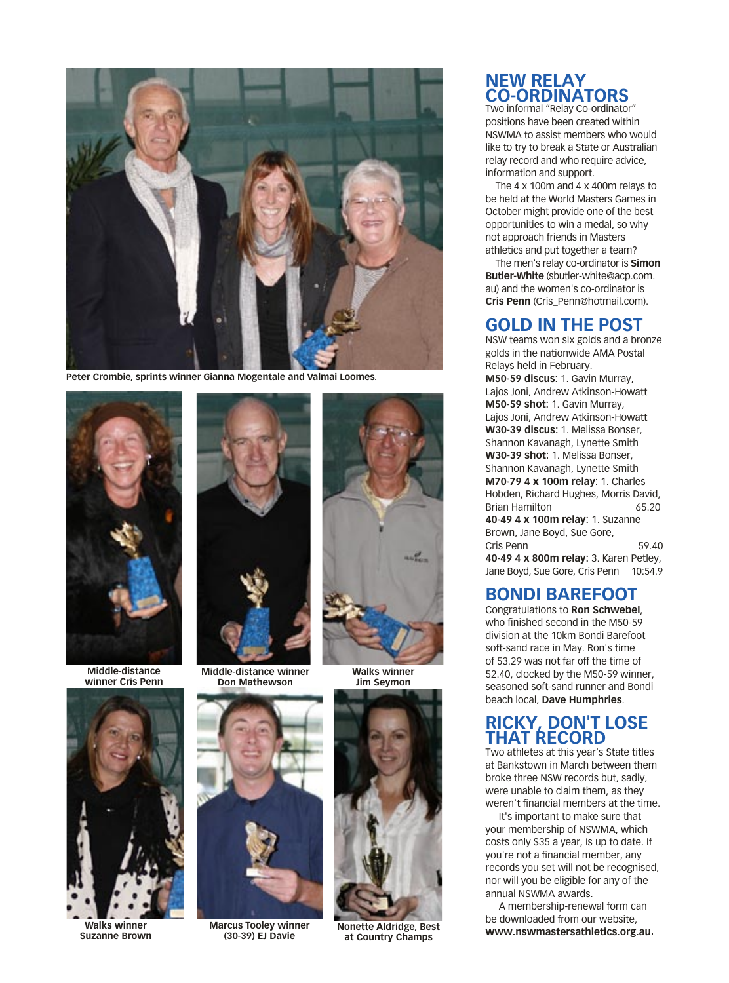

**Peter Crombie, sprints winner Gianna Mogentale and Valmai Loomes.**



**Middle-distance winner Cris Penn**



**Walks winner Suzanne Brown**



**Middle-distance winner Don Mathewson**



**Marcus Tooley winner**



**Walks winner Jim Seymon**



**(30-39) EJ Davie Nonette Aldridge, Best at Country Champs**

### **NEW RELAY CO-ORDINATORS** Two informal "Relay Co-ordinator"

positions have been created within NSWMA to assist members who would like to try to break a State or Australian relay record and who require advice, information and support.

The 4 x 100m and 4 x 400m relays to be held at the World Masters Games in October might provide one of the best opportunities to win a medal, so why not approach friends in Masters athletics and put together a team?

The men's relay co-ordinator is **Simon Butler-White** (sbutler-white@acp.com. au) and the women's co-ordinator is **Cris Penn** (Cris\_Penn@hotmail.com).

## **GOLD IN THE POST**

NSW teams won six golds and a bronze golds in the nationwide AMA Postal Relays held in February. **M50-59 discus:** 1. Gavin Murray, Lajos Joni, Andrew Atkinson-Howatt **M50-59 shot:** 1. Gavin Murray, Lajos Joni, Andrew Atkinson-Howatt **W30-39 discus:** 1. Melissa Bonser, Shannon Kavanagh, Lynette Smith **W30-39 shot:** 1. Melissa Bonser, Shannon Kavanagh, Lynette Smith **M70-79 4 x 100m relay:** 1. Charles Hobden, Richard Hughes, Morris David, Brian Hamilton 65.20 **40-49 4 x 100m relay:** 1. Suzanne Brown, Jane Boyd, Sue Gore, Cris Penn 59.40 **40-49 4 x 800m relay:** 3. Karen Petley, Jane Boyd, Sue Gore, Cris Penn 10:54.9

## **BONDI BAREFOOT**

Congratulations to **Ron Schwebel**, who finished second in the M50-59 division at the 10km Bondi Barefoot soft-sand race in May. Ron's time of 53.29 was not far off the time of 52.40, clocked by the M50-59 winner, seasoned soft-sand runner and Bondi beach local, **Dave Humphries**.

## **RICKY, DON'T LOSE THAT RECORD**

Two athletes at this year's State titles at Bankstown in March between them broke three NSW records but, sadly, were unable to claim them, as they weren't financial members at the time.

It's important to make sure that your membership of NSWMA, which costs only \$35 a year, is up to date. If you're not a financial member, any records you set will not be recognised, nor will you be eligible for any of the annual NSWMA awards.

A membership-renewal form can be downloaded from our website, **www.nswmastersathletics.org.au.**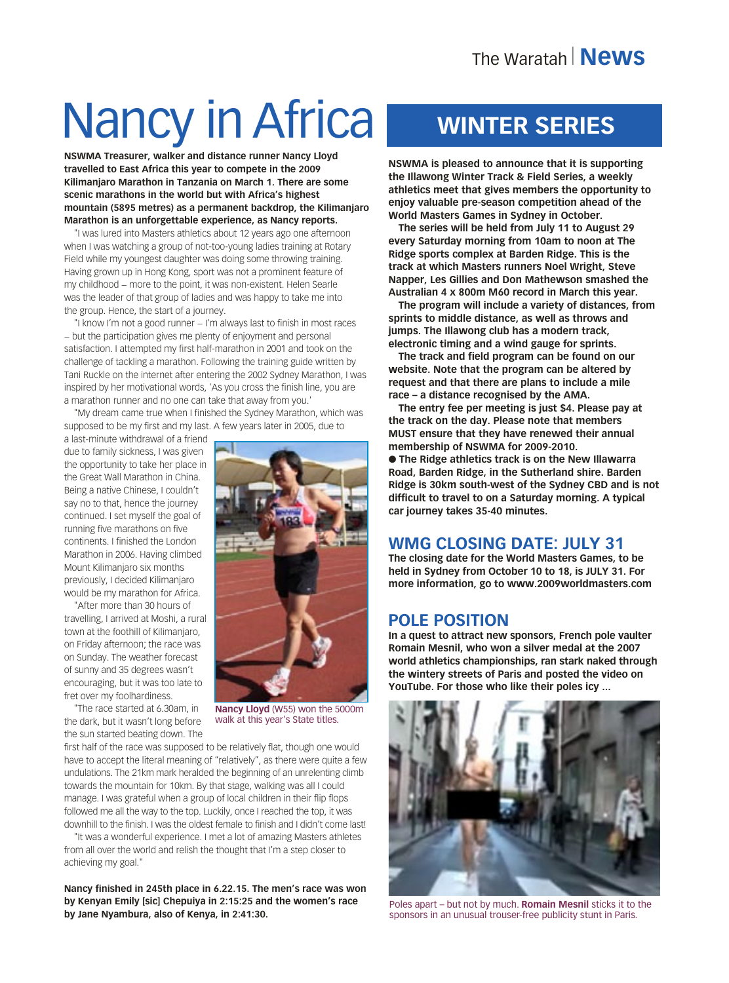# Nancy in Africa

**NSWMA Treasurer, walker and distance runner Nancy Lloyd travelled to East Africa this year to compete in the 2009 Kilimanjaro Marathon in Tanzania on March 1. There are some scenic marathons in the world but with Africa's highest mountain (5895 metres) as a permanent backdrop, the Kilimanjaro Marathon is an unforgettable experience, as Nancy reports.**

"I was lured into Masters athletics about 12 years ago one afternoon when I was watching a group of not-too-young ladies training at Rotary Field while my youngest daughter was doing some throwing training. Having grown up in Hong Kong, sport was not a prominent feature of my childhood − more to the point, it was non-existent. Helen Searle was the leader of that group of ladies and was happy to take me into the group. Hence, the start of a journey.

"I know I'm not a good runner − I'm always last to finish in most races − but the participation gives me plenty of enjoyment and personal satisfaction. I attempted my first half-marathon in 2001 and took on the challenge of tackling a marathon. Following the training guide written by Tani Ruckle on the internet after entering the 2002 Sydney Marathon, I was inspired by her motivational words, 'As you cross the finish line, you are a marathon runner and no one can take that away from you.'

"My dream came true when I finished the Sydney Marathon, which was supposed to be my first and my last. A few years later in 2005, due to

a last-minute withdrawal of a friend due to family sickness, I was given the opportunity to take her place in the Great Wall Marathon in China. Being a native Chinese, I couldn't say no to that, hence the journey continued. I set myself the goal of running five marathons on five continents. I finished the London Marathon in 2006. Having climbed Mount Kilimanjaro six months previously, I decided Kilimanjaro would be my marathon for Africa.

"After more than 30 hours of travelling, I arrived at Moshi, a rural town at the foothill of Kilimanjaro, on Friday afternoon; the race was on Sunday. The weather forecast of sunny and 35 degrees wasn't encouraging, but it was too late to fret over my foolhardiness.



"The race started at 6.30am, in the dark, but it wasn't long before the sun started beating down. The

**Nancy Lloyd** (W55) won the 5000m walk at this year's State titles.

first half of the race was supposed to be relatively flat, though one would have to accept the literal meaning of "relatively", as there were quite a few undulations. The 21km mark heralded the beginning of an unrelenting climb towards the mountain for 10km. By that stage, walking was all I could manage. I was grateful when a group of local children in their flip flops followed me all the way to the top. Luckily, once I reached the top, it was downhill to the finish. I was the oldest female to finish and I didn't come last!

"It was a wonderful experience. I met a lot of amazing Masters athletes from all over the world and relish the thought that I'm a step closer to achieving my goal."

**Nancy finished in 245th place in 6.22.15. The men's race was won by Kenyan Emily [sic] Chepuiya in 2:15:25 and the women's race by Jane Nyambura, also of Kenya, in 2:41:30.**

## **WINTER SERIES**

**NSWMA is pleased to announce that it is supporting the Illawong Winter Track & Field Series, a weekly athletics meet that gives members the opportunity to enjoy valuable pre-season competition ahead of the World Masters Games in Sydney in October.**

**The series will be held from July 11 to August 29 every Saturday morning from 10am to noon at The Ridge sports complex at Barden Ridge. This is the track at which Masters runners Noel Wright, Steve Napper, Les Gillies and Don Mathewson smashed the Australian 4 x 800m M60 record in March this year.**

**The program will include a variety of distances, from sprints to middle distance, as well as throws and jumps. The Illawong club has a modern track, electronic timing and a wind gauge for sprints.**

**The track and field program can be found on our website. Note that the program can be altered by request and that there are plans to include a mile race – a distance recognised by the AMA.**

**The entry fee per meeting is just \$4. Please pay at the track on the day. Please note that members MUST ensure that they have renewed their annual membership of NSWMA for 2009-2010.**  ● **The Ridge athletics track is on the New Illawarra Road, Barden Ridge, in the Sutherland shire. Barden Ridge is 30km south-west of the Sydney CBD and is not difficult to travel to on a Saturday morning. A typical car journey takes 35-40 minutes.**

### **WMG CLOSING DATE: JULY 31**

**The closing date for the World Masters Games, to be held in Sydney from October 10 to 18, is JULY 31. For more information, go to www.2009worldmasters.com**

### **POLE POSITION**

**In a quest to attract new sponsors, French pole vaulter Romain Mesnil, who won a silver medal at the 2007 world athletics championships, ran stark naked through the wintery streets of Paris and posted the video on YouTube. For those who like their poles icy ...**



Poles apart – but not by much. **Romain Mesnil** sticks it to the sponsors in an unusual trouser-free publicity stunt in Paris.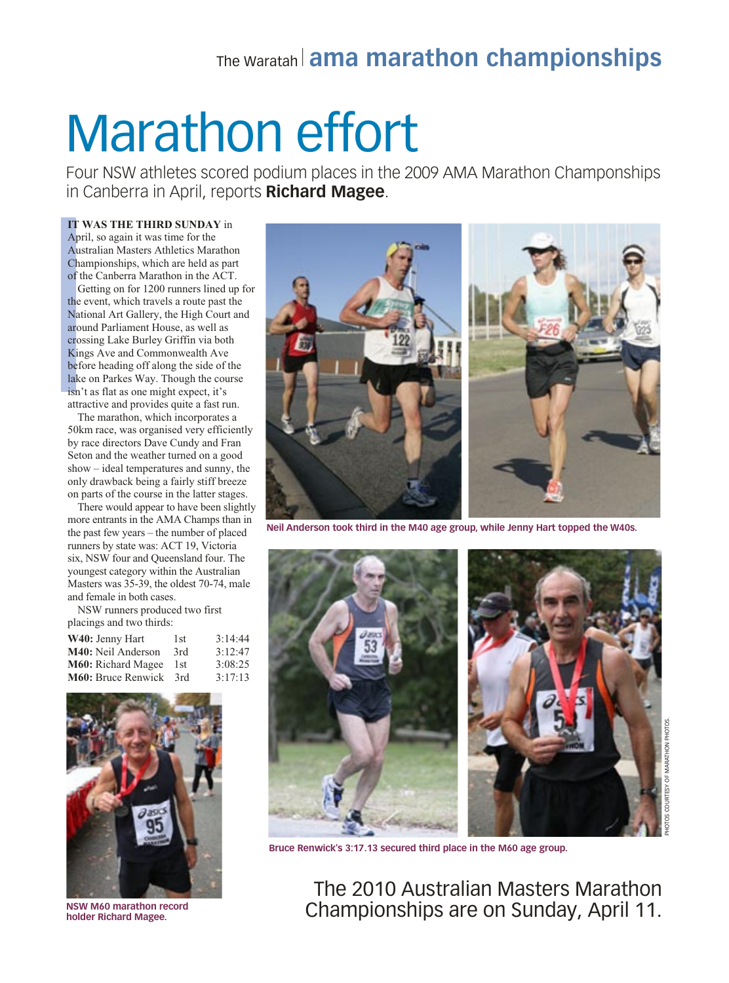## The Waratah <sup>|</sup>**ama marathon championships**

# Marathon effort

Four NSW athletes scored podium places in the 2009 AMA Marathon Champonships in Canberra in April, reports **Richard Magee**.

**IT WAS THE THIRD SUNDAY** in April, so again it was time for the Australian Masters Athletics Marathon Championships, which are held as part of the Canberra Marathon in the ACT.

IT W/<br>April,<br>Austra<br>Champ of the Gett<br>the eventual of the Contraction<br>arounce crossing<br>Kings<br>before lake on<br>isn't a attract<br>The 50km Getting on for 1200 runners lined up for the event, which travels a route past the National Art Gallery, the High Court and around Parliament House, as well as crossing Lake Burley Griffin via both Kings Ave and Commonwealth Ave before heading off along the side of the lake on Parkes Way. Though the course isn't as flat as one might expect, it's attractive and provides quite a fast run.

The marathon, which incorporates a 50km race, was organised very efficiently by race directors Dave Cundy and Fran Seton and the weather turned on a good show – ideal temperatures and sunny, the only drawback being a fairly stiff breeze on parts of the course in the latter stages.

There would appear to have been slightly more entrants in the AMA Champs than in the past few years – the number of placed runners by state was: ACT 19, Victoria six, NSW four and Queensland four. The youngest category within the Australian Masters was 35-39, the oldest 70-74, male and female in both cases.

NSW runners produced two first placings and two thirds:

| W40: Jenny Hart           | 1st | 3:14:44 |
|---------------------------|-----|---------|
| <b>M40:</b> Neil Anderson | 3rd | 3:12:47 |
| <b>M60:</b> Richard Magee | 1st | 3:08:25 |
| M60: Bruce Renwick 3rd    |     | 3:17:13 |



**holder Richard Magee.** 



**Neil Anderson took third in the M40 age group, while Jenny Hart topped the W40s.**



**Bruce Renwick's 3:17.13 secured third place in the M60 age group.** 

The 2010 Australian Masters Marathon NSW M60 marathon record **National Championships are on Sunday, April 11.**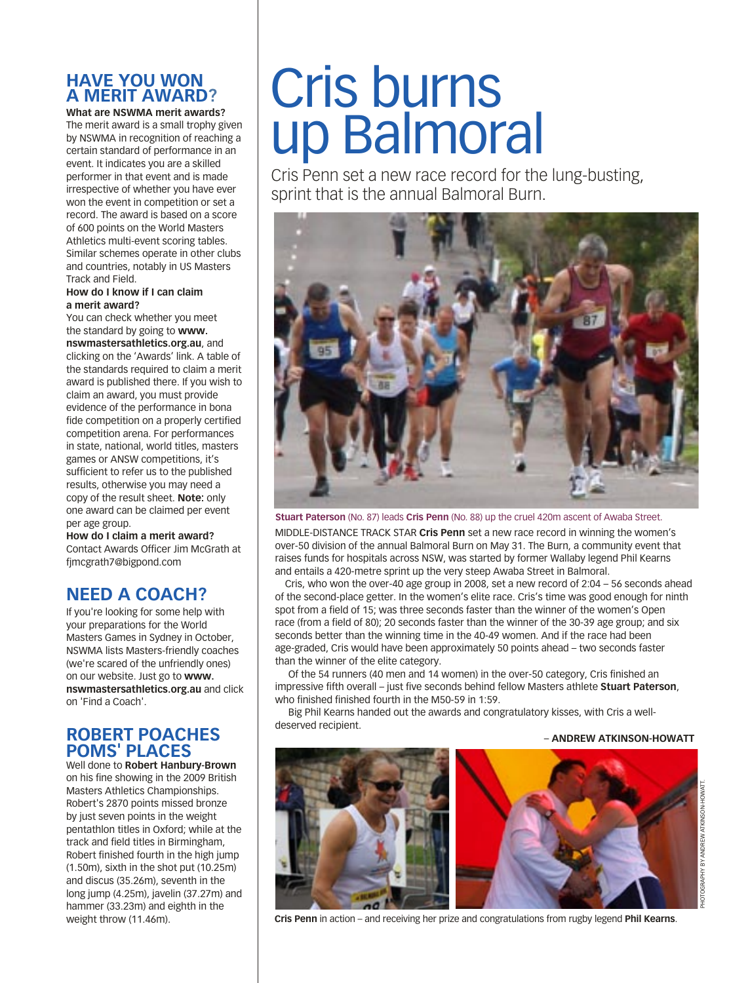## **HAVE YOU WON A MERIT AWARD?**

**What are NSWMA merit awards?** The merit award is a small trophy given by NSWMA in recognition of reaching a certain standard of performance in an event. It indicates you are a skilled performer in that event and is made irrespective of whether you have ever won the event in competition or set a record. The award is based on a score of 600 points on the World Masters Athletics multi-event scoring tables. Similar schemes operate in other clubs and countries, notably in US Masters Track and Field.

#### **How do I know if I can claim a merit award?**

You can check whether you meet the standard by going to **www. nswmastersathletics.org.au**, and clicking on the 'Awards' link. A table of the standards required to claim a merit award is published there. If you wish to claim an award, you must provide evidence of the performance in bona fide competition on a properly certified competition arena. For performances in state, national, world titles, masters games or ANSW competitions, it's sufficient to refer us to the published results, otherwise you may need a copy of the result sheet. **Note:** only one award can be claimed per event per age group.

**How do I claim a merit award?** Contact Awards Officer Jim McGrath at fjmcgrath7@bigpond.com

## **NEED A COACH?**

If you're looking for some help with your preparations for the World Masters Games in Sydney in October, NSWMA lists Masters-friendly coaches (we're scared of the unfriendly ones) on our website. Just go to **www. nswmastersathletics.org.au** and click on 'Find a Coach'.

## **ROBERT POACHES POMS' PLACES**

Well done to **Robert Hanbury-Brown** on his fine showing in the 2009 British Masters Athletics Championships. Robert's 2870 points missed bronze by just seven points in the weight pentathlon titles in Oxford; while at the track and field titles in Birmingham, Robert finished fourth in the high jump (1.50m), sixth in the shot put (10.25m) and discus (35.26m), seventh in the long jump (4.25m), javelin (37.27m) and hammer (33.23m) and eighth in the weight throw (11.46m).

# Cris burns up Balmoral

Cris Penn set a new race record for the lung-busting, sprint that is the annual Balmoral Burn.



**Stuart Paterson** (No. 87) leads **Cris Penn** (No. 88) up the cruel 420m ascent of Awaba Street.

MIDDLE-DISTANCE TRACK STAR **Cris Penn** set a new race record in winning the women's over-50 division of the annual Balmoral Burn on May 31. The Burn, a community event that raises funds for hospitals across NSW, was started by former Wallaby legend Phil Kearns and entails a 420-metre sprint up the very steep Awaba Street in Balmoral.

Cris, who won the over-40 age group in 2008, set a new record of 2:04 – 56 seconds ahead of the second-place getter. In the women's elite race. Cris's time was good enough for ninth spot from a field of 15; was three seconds faster than the winner of the women's Open race (from a field of 80); 20 seconds faster than the winner of the 30-39 age group; and six seconds better than the winning time in the 40-49 women. And if the race had been age-graded, Cris would have been approximately 50 points ahead – two seconds faster than the winner of the elite category.

Of the 54 runners (40 men and 14 women) in the over-50 category, Cris finished an impressive fifth overall – just five seconds behind fellow Masters athlete **Stuart Paterson**, who finished finished fourth in the M50-59 in 1:59.

Big Phil Kearns handed out the awards and congratulatory kisses, with Cris a welldeserved recipient.

– **ANDREW ATKINSON-HOWATT**



**Cris Penn** in action – and receiving her prize and congratulations from rugby legend **Phil Kearns**.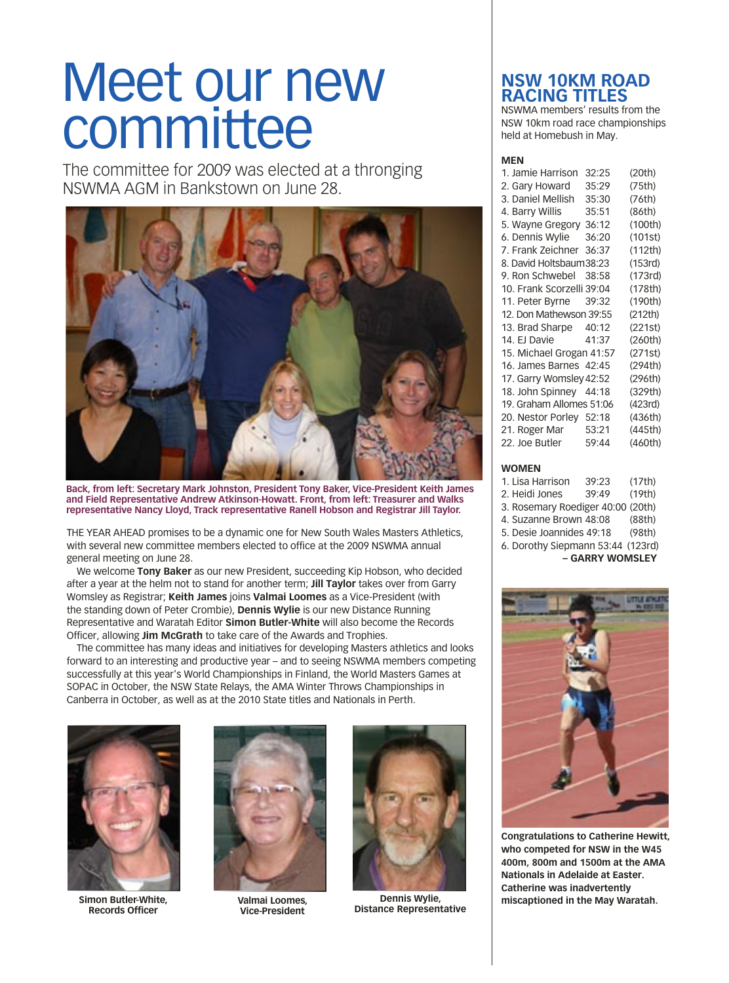# Meet our new committee

The committee for 2009 was elected at a thronging NSWMA AGM in Bankstown on June 28.



**Back, from left: Secretary Mark Johnston, President Tony Baker, Vice-President Keith James and Field Representative Andrew Atkinson-Howatt. Front, from left: Treasurer and Walks representative Nancy Lloyd, Track representative Ranell Hobson and Registrar Jill Taylor.** 

THE YEAR AHEAD promises to be a dynamic one for New South Wales Masters Athletics, with several new committee members elected to office at the 2009 NSWMA annual general meeting on June 28.

We welcome **Tony Baker** as our new President, succeeding Kip Hobson, who decided after a year at the helm not to stand for another term; **Jill Taylor** takes over from Garry Womsley as Registrar; **Keith James** joins **Valmai Loomes** as a Vice-President (with the standing down of Peter Crombie), **Dennis Wylie** is our new Distance Running Representative and Waratah Editor **Simon Butler-White** will also become the Records Officer, allowing **Jim McGrath** to take care of the Awards and Trophies.

The committee has many ideas and initiatives for developing Masters athletics and looks forward to an interesting and productive year – and to seeing NSWMA members competing successfully at this year's World Championships in Finland, the World Masters Games at SOPAC in October, the NSW State Relays, the AMA Winter Throws Championships in Canberra in October, as well as at the 2010 State titles and Nationals in Perth.



**Simon Butler-White, Records Officer**



**Vice-President**



**Dennis Wylie, Distance Representative**

### **NSW 10KM ROAD RACING TITLES** NSWMA members' results from the

NSW 10km road race championships held at Homebush in May.

#### **MEN**

| 1. Jamie Harrison         | 32:25 | (20th)  |
|---------------------------|-------|---------|
| 2. Gary Howard            | 35:29 | (75th)  |
| 3. Daniel Mellish         | 35:30 | (76th)  |
| 4. Barry Willis           | 35:51 | (86th)  |
| 5. Wayne Gregory          | 36:12 | (100th) |
| 6. Dennis Wylie           | 36:20 | (101st) |
| 7. Frank Zeichner         | 36:37 | (112th) |
| 8. David Holtsbaum38:23   |       | (153rd) |
| 9. Ron Schwebel           | 38:58 | (173rd) |
| 10. Frank Scorzelli 39:04 |       | (178th) |
| 11. Peter Byrne           | 39:32 | (190th) |
| 12. Don Mathewson 39:55   |       | (212th) |
| 13. Brad Sharpe           | 40:12 | (221st) |
| 14. EJ Davie              | 41:37 | (260th) |
| 15. Michael Grogan 41:57  |       | (271st) |
| 16. James Barnes 42:45    |       | (294th) |
| 17. Garry Womsley 42:52   |       | (296th) |
| 18. John Spinney 44:18    |       | (329th) |
| 19. Graham Allomes 51:06  |       | (423rd) |
| 20. Nestor Porley 52:18   |       | (436th) |
| 21. Roger Mar             | 53:21 | (445th) |
| 22. Joe Butler            | 59:44 | (460th) |
|                           |       |         |

#### **WOMEN**

1. Lisa Harrison 39:23 (17th) 2. Heidi Jones 39:49 (19th) 3. Rosemary Roediger 40:00 (20th) 4. Suzanne Brown 48:08 (88th) 5. Desie Joannides 49:18 (98th) 6. Dorothy Siepmann 53:44 (123rd)  **– GARRY WOMSLEY**



**Congratulations to Catherine Hewitt, who competed for NSW in the W45 400m, 800m and 1500m at the AMA Nationals in Adelaide at Easter. Catherine was inadvertently Valmai Loomes, miscaptioned in the May Waratah.**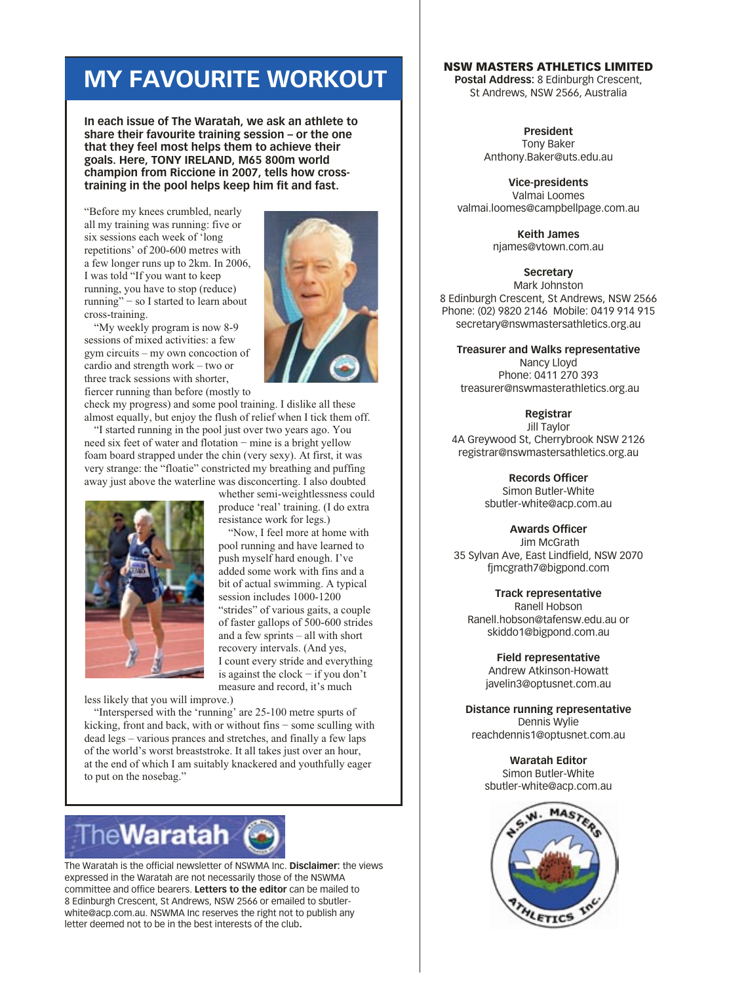# **MY FAVOURITE WORKOUT** NSW MASTERS ATHLETICS LIMITED

**In each issue of The Waratah, we ask an athlete to share their favourite training session – or the one that they feel most helps them to achieve their goals. Here, TONY IRELAND, M65 800m world champion from Riccione in 2007, tells how crosstraining in the pool helps keep him fit and fast.**

"Before my knees crumbled, nearly all my training was running: five or six sessions each week of 'long repetitions' of 200-600 metres with a few longer runs up to 2km. In 2006, I was told "If you want to keep running, you have to stop (reduce) running" − so I started to learn about cross-training.

"My weekly program is now 8-9 sessions of mixed activities: a few gym circuits – my own concoction of cardio and strength work – two or three track sessions with shorter, fiercer running than before (mostly to

.

check my progress) and some pool training. I dislike all these almost equally, but enjoy the flush of relief when I tick them off. "I started running in the pool just over two years ago. You

need six feet of water and flotation – mine is a bright yellow foam board strapped under the chin (very sexy). At first, it was very strange: the "floatie" constricted my breathing and puffing away just above the waterline was disconcerting. I also doubted

whether semi-weightlessness could produce 'real' training. (I do extra resistance work for legs.)

"Now, I feel more at home with pool running and have learned to push myself hard enough. I've added some work with fins and a bit of actual swimming. A typical session includes 1000-1200 "strides" of various gaits, a couple of faster gallops of 500-600 strides and a few sprints – all with short recovery intervals. (And yes, I count every stride and everything is against the clock – if you don't measure and record, it's much

less likely that you will improve.)

"Interspersed with the 'running' are 25-100 metre spurts of kicking, front and back, with or without fins − some sculling with dead legs – various prances and stretches, and finally a few laps of the world's worst breaststroke. It all takes just over an hour, at the end of which I am suitably knackered and youthfully eager to put on the nosebag."



The Waratah is the official newsletter of NSWMA Inc. **Disclaimer:** the views expressed in the Waratah are not necessarily those of the NSWMA committee and office bearers. **Letters to the editor** can be mailed to 8 Edinburgh Crescent, St Andrews, NSW 2566 or emailed to sbutlerwhite@acp.com.au. NSWMA Inc reserves the right not to publish any letter deemed not to be in the best interests of the club**.**



**Postal Address:** 8 Edinburgh Crescent, St Andrews, NSW 2566, Australia

> **President**  Tony Baker Anthony.Baker@uts.edu.au

**Vice-presidents** Valmai Loomes valmai.loomes@campbellpage.com.au

> **Keith James** njames@vtown.com.au

> > **Secretary**

Mark Johnston 8 Edinburgh Crescent, St Andrews, NSW 2566 Phone: (02) 9820 2146 Mobile: 0419 914 915 secretary@nswmastersathletics.org.au

**Treasurer and Walks representative** 

Nancy Lloyd Phone: 0411 270 393 treasurer@nswmasterathletics.org.au

**Registrar**

Jill Taylor 4A Greywood St, Cherrybrook NSW 2126 registrar@nswmastersathletics.org.au

> **Records Officer** Simon Butler-White sbutler-white@acp.com.au

**Awards Officer Jim McGrath** 35 Sylvan Ave, East Lindfield, NSW 2070 fjmcgrath7@bigpond.com

**Track representative**  Ranell Hobson Ranell.hobson@tafensw.edu.au or skiddo1@bigpond.com.au

> **Field representative** Andrew Atkinson-Howatt javelin3@optusnet.com.au

**Distance running representative** Dennis Wylie reachdennis1@optusnet.com.au

> **Waratah Editor** Simon Butler-White sbutler-white@acp.com.au

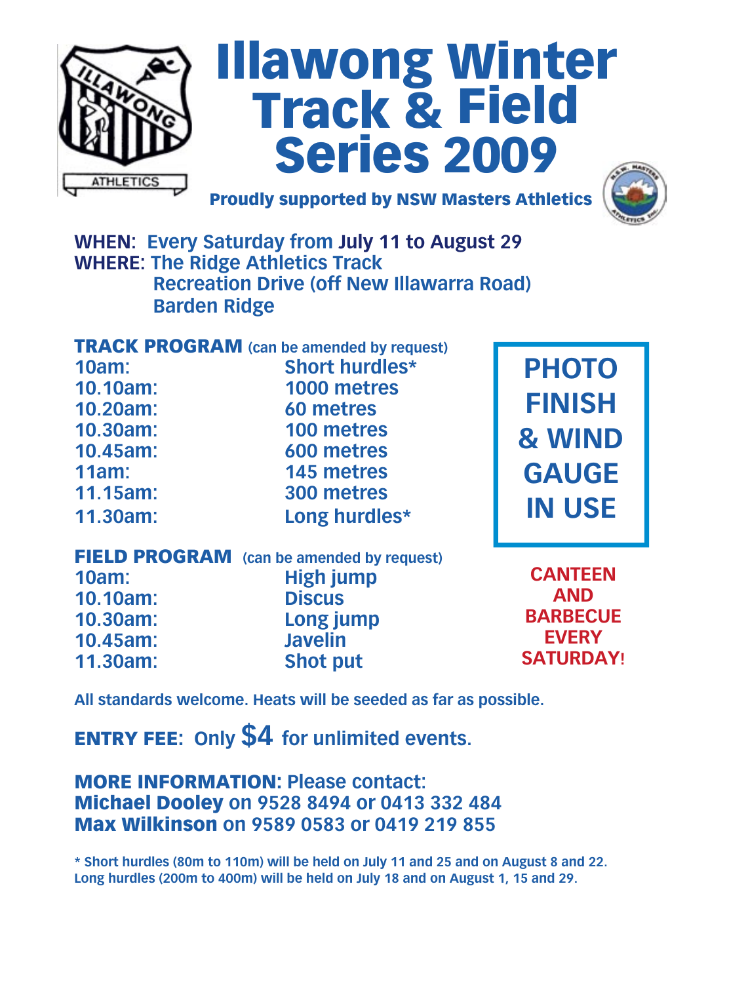

**WHEN: Every Saturday from July 11 to August 29 WHERE: The Ridge Athletics Track Recreation Drive (off New Illawarra Road)**

 **Barden Ridge** 

## TRACK PROGRAM **(can be amended by request)**

**10am: Short hurdles**\* **10.10am: 1000 metres 10.20am: 60 metres 10.30am: 100 metres 10.45am: 600 metres 11am: 145 metres 11.15am: 300 metres 11.30am: Long hurdles**\*

**PHOTO FINISH & WIND GAUGE IN USE**

|              | <b>FIELD PROGRAM</b> (can be amended by request) |                  |
|--------------|--------------------------------------------------|------------------|
| <b>10am:</b> | <b>High jump</b>                                 | <b>CANTEEN</b>   |
| 10.10am:     | <b>Discus</b>                                    | <b>AND</b>       |
| 10.30am:     | Long jump                                        | <b>BARBECUE</b>  |
| $10.45$ am:  | <b>Javelin</b>                                   | <b>EVERY</b>     |
| 11.30am:     | <b>Shot put</b>                                  | <b>SATURDAY!</b> |

**All standards welcome. Heats will be seeded as far as possible.**

ENTRY FEE: **Only \$4 for unlimited events.**

MORE INFORMATION: **Please contact:** Michael Dooley **on 9528 8494 or 0413 332 484**  Max Wilkinson **on 9589 0583 or 0419 219 855**

**\* Short hurdles (80m to 110m) will be held on July 11 and 25 and on August 8 and 22. Long hurdles (200m to 400m) will be held on July 18 and on August 1, 15 and 29.**